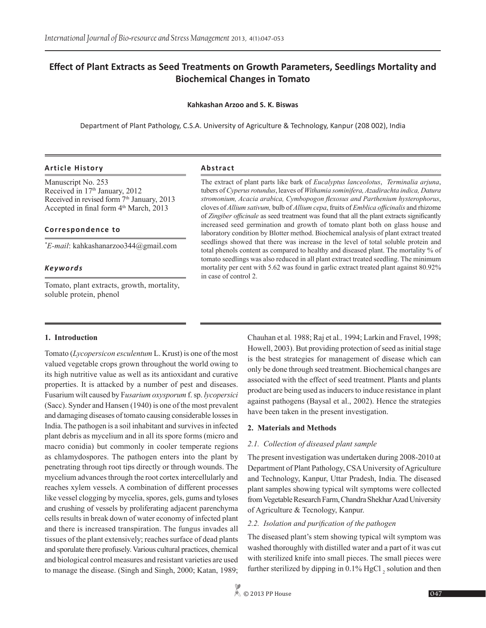# **Effect of Plant Extracts as Seed Treatments on Growth Parameters, Seedlings Mortality and Biochemical Changes in Tomato**

#### **Kahkashan Arzoo and S. K. Biswas**

Department of Plant Pathology, C.S.A. University of Agriculture & Technology, Kanpur (208 002), India

#### **Article History Abstract**

Manuscript No. 253 Received in 17<sup>th</sup> January, 2012 Received in revised form 7<sup>th</sup> January, 2013 Accepted in final form 4<sup>th</sup> March, 2013

#### **Correspondence to**

*\* E-mail*: kahkashanarzoo344@gmail.com

#### *Keywords*

Tomato, plant extracts, growth, mortality, soluble protein, phenol

The extract of plant parts like bark of *Eucalyptus lanceolotus*, *Terminalia arjuna*, tubers of *Cyperus rotundus*, leaves of *Withamia sominifera, Azadirachta indica, Datura stromonium, Acacia arabica, Cymbopogon flexosus and Parthenium hysterophorus*, cloves of *Allium sativum,* bulb of *Allium cepa*, fruits of *Emblica officinalis* and rhizome of *Zingiber officinale* as seed treatment was found that all the plant extracts significantly increased seed germination and growth of tomato plant both on glass house and laboratory condition by Blotter method. Biochemical analysis of plant extract treated seedlings showed that there was increase in the level of total soluble protein and total phenols content as compared to healthy and diseased plant. The mortality % of tomato seedlings was also reduced in all plant extract treated seedling. The minimum mortality per cent with 5.62 was found in garlic extract treated plant against 80.92% in case of control 2.

#### **1. Introduction**

Tomato (*Lycopersicon esculentum* L. Krust) is one of the most valued vegetable crops grown throughout the world owing to its high nutritive value as well as its antioxidant and curative properties. It is attacked by a number of pest and diseases. Fusarium wilt caused by F*usarium oxysporum* f. sp. *lycopersici*  (Sacc). Synder and Hansen (1940) is one of the most prevalent and damaging diseases of tomato causing considerable losses in India. The pathogen is a soil inhabitant and survives in infected plant debris as mycelium and in all its spore forms (micro and macro conidia) but commonly in cooler temperate regions as chlamydospores. The pathogen enters into the plant by penetrating through root tips directly or through wounds. The mycelium advances through the root cortex intercellularly and reaches xylem vessels. A combination of different processes like vessel clogging by mycelia, spores, gels, gums and tyloses and crushing of vessels by proliferating adjacent parenchyma cells results in break down of water economy of infected plant and there is increased transpiration. The fungus invades all tissues of the plant extensively; reaches surface of dead plants and sporulate there profusely. Various cultural practices, chemical and biological control measures and resistant varieties are used to manage the disease. (Singh and Singh, 2000; Katan, 1989;

Chauhan et al*.* 1988; Raj et al*.,* 1994; Larkin and Fravel, 1998; Howell, 2003). But providing protection of seed as initial stage is the best strategies for management of disease which can only be done through seed treatment. Biochemical changes are associated with the effect of seed treatment. Plants and plants product are being used as inducers to induce resistance in plant against pathogens (Baysal et al., 2002). Hence the strategies have been taken in the present investigation.

#### **2. Materials and Methods**

#### *2.1. Collection of diseased plant sample*

The present investigation was undertaken during 2008-2010 at Department of Plant Pathology, CSA University of Agriculture and Technology, Kanpur, Uttar Pradesh, India. The diseased plant samples showing typical wilt symptoms were collected from Vegetable Research Farm, Chandra Shekhar Azad University of Agriculture & Tecnology, Kanpur.

# *2.2. Isolation and purification of the pathogen*

The diseased plant's stem showing typical wilt symptom was washed thoroughly with distilled water and a part of it was cut with sterilized knife into small pieces. The small pieces were further sterilized by dipping in  $0.1\%$  HgCl<sub>2</sub> solution and then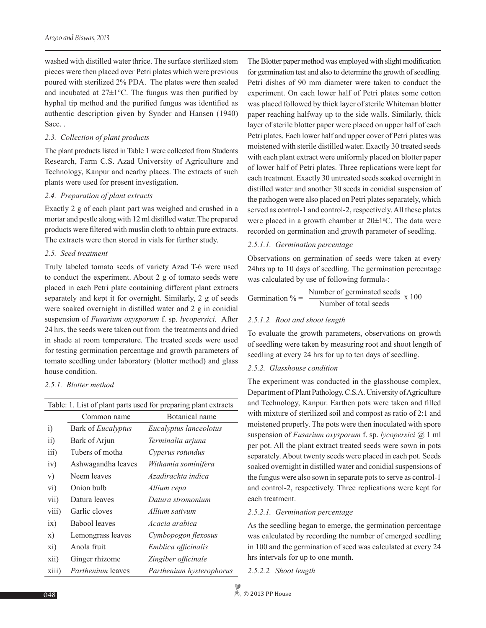washed with distilled water thrice. The surface sterilized stem pieces were then placed over Petri plates which were previous poured with sterilized 2% PDA. The plates were then sealed and incubated at 27±1°C. The fungus was then purified by hyphal tip method and the purified fungus was identified as authentic description given by Synder and Hansen (1940) Sacc.

#### *2.3. Collection of plant products*

The plant products listed in Table 1 were collected from Students Research, Farm C.S. Azad University of Agriculture and Technology, Kanpur and nearby places. The extracts of such plants were used for present investigation.

#### *2.4. Preparation of plant extracts*

Exactly 2 g of each plant part was weighed and crushed in a mortar and pestle along with 12 ml distilled water. The prepared products were filtered with muslin cloth to obtain pure extracts. The extracts were then stored in vials for further study.

## *2.5. Seed treatment*

Truly labeled tomato seeds of variety Azad T-6 were used to conduct the experiment. About 2 g of tomato seeds were placed in each Petri plate containing different plant extracts separately and kept it for overnight. Similarly, 2 g of seeds were soaked overnight in distilled water and 2 g in conidial suspension of *Fusarium oxysporum* f. sp. *lycopersici.* After 24 hrs, the seeds were taken out from the treatments and dried in shade at room temperature. The treated seeds were used for testing germination percentage and growth parameters of tomato seedling under laboratory (blotter method) and glass house condition.

#### *2.5.1. Blotter method*

| Table: 1. List of plant parts used for preparing plant extracts |                           |                          |  |  |  |  |
|-----------------------------------------------------------------|---------------------------|--------------------------|--|--|--|--|
|                                                                 | Common name               | Botanical name           |  |  |  |  |
| $\ddot{i}$                                                      | Bark of <i>Eucalyptus</i> | Eucalyptus lanceolotus   |  |  |  |  |
| $\overline{11}$                                                 | Bark of Arjun             | Terminalia arjuna        |  |  |  |  |
| $\overline{iii}$ )                                              | Tubers of motha           | Cyperus rotundus         |  |  |  |  |
| iv)                                                             | Ashwagandha leaves        | Withamia sominifera      |  |  |  |  |
| V)                                                              | Neem leaves               | Azadirachta indica       |  |  |  |  |
| vi)                                                             | Onion bulb                | Allium cepa              |  |  |  |  |
| vii)                                                            | Datura leaves             | Datura stromonium        |  |  |  |  |
| viii)                                                           | Garlic cloves             | Allium sativum           |  |  |  |  |
| ix)                                                             | Babool leaves             | Acacia arabica           |  |  |  |  |
| $\mathbf{x})$                                                   | Lemongrass leaves         | Cymbopogon flexosus      |  |  |  |  |
| xi)                                                             | Anola fruit               | Emblica officinalis      |  |  |  |  |
| xii)                                                            | Ginger rhizome            | Zingiber officinale      |  |  |  |  |
| xiii)                                                           | <i>Parthenium</i> leaves  | Parthenium hysterophorus |  |  |  |  |

The Blotter paper method was employed with slight modification for germination test and also to determine the growth of seedling. Petri dishes of 90 mm diameter were taken to conduct the experiment. On each lower half of Petri plates some cotton was placed followed by thick layer of sterile Whiteman blotter paper reaching halfway up to the side walls. Similarly, thick layer of sterile blotter paper were placed on upper half of each Petri plates. Each lower half and upper cover of Petri plates was moistened with sterile distilled water. Exactly 30 treated seeds with each plant extract were uniformly placed on blotter paper of lower half of Petri plates. Three replications were kept for each treatment. Exactly 30 untreated seeds soaked overnight in distilled water and another 30 seeds in conidial suspension of the pathogen were also placed on Petri plates separately, which served as control-1 and control-2, respectively. All these plates were placed in a growth chamber at  $20 \pm 1$ °C. The data were recorded on germination and growth parameter of seedling.

## *2.5.1.1. Germination percentage*

Observations on germination of seeds were taken at every 24hrs up to 10 days of seedling. The germination percentage was calculated by use of following formula-:

$$
Germanation % = \frac{Number of germinated seeds}{Number of total seeds} \times 100
$$

# *2.5.1.2. Root and shoot length*

To evaluate the growth parameters, observations on growth of seedling were taken by measuring root and shoot length of seedling at every 24 hrs for up to ten days of seedling.

#### *2.5.2. Glasshouse condition*

The experiment was conducted in the glasshouse complex, Department of Plant Pathology, C.S.A. University of Agriculture and Technology, Kanpur. Earthen pots were taken and filled with mixture of sterilized soil and compost as ratio of 2:1 and moistened properly. The pots were then inoculated with spore suspension of *Fusarium oxysporum* f. sp. *lycopersici* @ 1 ml per pot. All the plant extract treated seeds were sown in pots separately. About twenty seeds were placed in each pot. Seeds soaked overnight in distilled water and conidial suspensions of the fungus were also sown in separate pots to serve as control-1 and control-2, respectively. Three replications were kept for each treatment.

### *2.5.2.1. Germination percentage*

As the seedling began to emerge, the germination percentage was calculated by recording the number of emerged seedling in 100 and the germination of seed was calculated at every 24 hrs intervals for up to one month.

*2.5.2.2. Shoot length*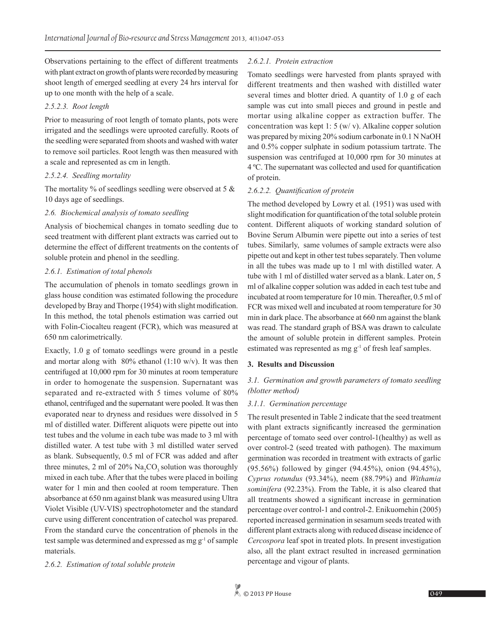Observations pertaining to the effect of different treatments with plant extract on growth of plants were recorded by measuring shoot length of emerged seedling at every 24 hrs interval for up to one month with the help of a scale.

# *2.5.2.3. Root length*

Prior to measuring of root length of tomato plants, pots were irrigated and the seedlings were uprooted carefully. Roots of the seedling were separated from shoots and washed with water to remove soil particles. Root length was then measured with a scale and represented as cm in length.

## *2.5.2.4. Seedling mortality*

The mortality % of seedlings seedling were observed at 5 & 10 days age of seedlings.

## *2.6. Biochemical analysis of tomato seedling*

Analysis of biochemical changes in tomato seedling due to seed treatment with different plant extracts was carried out to determine the effect of different treatments on the contents of soluble protein and phenol in the seedling.

## *2.6.1. Estimation of total phenols*

The accumulation of phenols in tomato seedlings grown in glass house condition was estimated following the procedure developed by Bray and Thorpe (1954) with slight modification. In this method, the total phenols estimation was carried out with Folin-Ciocalteu reagent (FCR), which was measured at 650 nm calorimetrically.

Exactly, 1.0 g of tomato seedlings were ground in a pestle and mortar along with  $80\%$  ethanol (1:10 w/v). It was then centrifuged at 10,000 rpm for 30 minutes at room temperature in order to homogenate the suspension. Supernatant was separated and re-extracted with 5 times volume of 80% ethanol, centrifuged and the supernatant were pooled. It was then evaporated near to dryness and residues were dissolved in 5 ml of distilled water. Different aliquots were pipette out into test tubes and the volume in each tube was made to 3 ml with distilled water. A test tube with 3 ml distilled water served as blank. Subsequently, 0.5 ml of FCR was added and after three minutes, 2 ml of 20%  $\text{Na}_2\text{CO}_3$  solution was thoroughly mixed in each tube. After that the tubes were placed in boiling water for 1 min and then cooled at room temperature. Then absorbance at 650 nm against blank was measured using Ultra Violet Visible (UV-VIS) spectrophotometer and the standard curve using different concentration of catechol was prepared. From the standard curve the concentration of phenols in the test sample was determined and expressed as mg g-1 of sample materials.

# *2.6.2. Estimation of total soluble protein*

# *2.6.2.1. Protein extraction*

Tomato seedlings were harvested from plants sprayed with different treatments and then washed with distilled water several times and blotter dried. A quantity of 1.0 g of each sample was cut into small pieces and ground in pestle and mortar using alkaline copper as extraction buffer. The concentration was kept 1: 5 (w/ v). Alkaline copper solution was prepared by mixing 20% sodium carbonate in 0.1 N NaOH and 0.5% copper sulphate in sodium potassium tartrate. The suspension was centrifuged at 10,000 rpm for 30 minutes at 4 ºC. The supernatant was collected and used for quantification of protein.

# *2.6.2.2. Quantification of protein*

The method developed by Lowry et al*.* (1951) was used with slight modification for quantification of the total soluble protein content. Different aliquots of working standard solution of Bovine Serum Albumin were pipette out into a series of test tubes. Similarly, same volumes of sample extracts were also pipette out and kept in other test tubes separately. Then volume in all the tubes was made up to 1 ml with distilled water. A tube with 1 ml of distilled water served as a blank. Later on, 5 ml of alkaline copper solution was added in each test tube and incubated at room temperature for 10 min. Thereafter, 0.5 ml of FCR was mixed well and incubated at room temperature for 30 min in dark place. The absorbance at 660 nm against the blank was read. The standard graph of BSA was drawn to calculate the amount of soluble protein in different samples. Protein estimated was represented as mg g<sup>-1</sup> of fresh leaf samples.

# **3. Results and Discussion**

# *3.1. Germination and growth parameters of tomato seedling (blotter method)*

# *3.1.1. Germination percentage*

The result presented in Table 2 indicate that the seed treatment with plant extracts significantly increased the germination percentage of tomato seed over control-1(healthy) as well as over control-2 (seed treated with pathogen). The maximum germination was recorded in treatment with extracts of garlic (95.56%) followed by ginger (94.45%), onion (94.45%), *Cyprus rotundus* (93.34%), neem (88.79%) and *Withamia sominifera* (92.23%). From the Table, it is also cleared that all treatments showed a significant increase in germination percentage over control-1 and control-2. Enikuomehin (2005) reported increased germination in sesamum seeds treated with different plant extracts along with reduced disease incidence of *Cercospora* leaf spot in treated plots. In present investigation also, all the plant extract resulted in increased germination percentage and vigour of plants.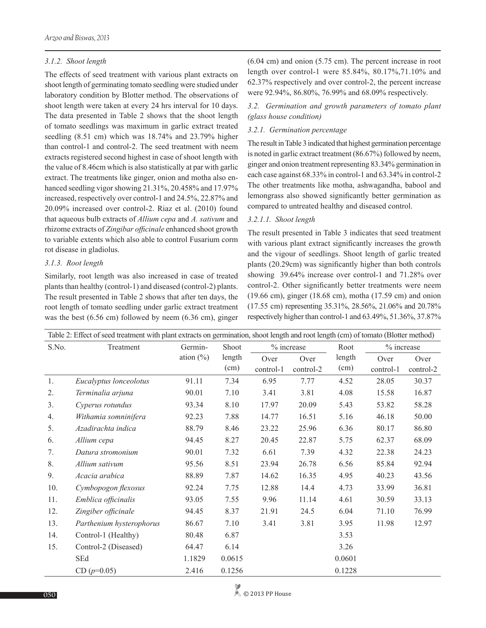#### *3.1.2. Shoot length*

The effects of seed treatment with various plant extracts on shoot length of germinating tomato seedling were studied under laboratory condition by Blotter method. The observations of shoot length were taken at every 24 hrs interval for 10 days. The data presented in Table 2 shows that the shoot length of tomato seedlings was maximum in garlic extract treated seedling (8.51 cm) which was 18.74% and 23.79% higher than control-1 and control-2. The seed treatment with neem extracts registered second highest in case of shoot length with the value of 8.46cm which is also statistically at par with garlic extract. The treatments like ginger, onion and motha also enhanced seedling vigor showing 21.31%, 20.458% and 17.97% increased, respectively over control-1 and 24.5%, 22.87% and 20.09% increased over control-2. Riaz et al. (2010) found that aqueous bulb extracts of *Allium cepa* and *A. sativum* and rhizome extracts of *Zingibar officinale* enhanced shoot growth to variable extents which also able to control Fusarium corm rot disease in gladiolus.

#### *3.1.3. Root length*

Similarly, root length was also increased in case of treated plants than healthy (control-1) and diseased (control-2) plants. The result presented in Table 2 shows that after ten days, the root length of tomato seedling under garlic extract treatment was the best (6.56 cm) followed by neem (6.36 cm), ginger (6.04 cm) and onion (5.75 cm). The percent increase in root length over control-1 were 85.84%, 80.17%,71.10% and 62.37% respectively and over control-2, the percent increase were 92.94%, 86.80%, 76.99% and 68.09% respectively.

*3.2. Germination and growth parameters of tomato plant (glass house condition)*

#### *3.2.1. Germination percentage*

The result in Table 3 indicated that highest germination percentage is noted in garlic extract treatment (86.67%) followed by neem, ginger and onion treatment representing 83.34% germination in each case against 68.33% in control-1 and 63.34% in control-2 The other treatments like motha, ashwagandha, babool and lemongrass also showed significantly better germination as compared to untreated healthy and diseased control.

#### *3.2.1.1. Shoot length*

The result presented in Table 3 indicates that seed treatment with various plant extract significantly increases the growth and the vigour of seedlings. Shoot length of garlic treated plants (20.29cm) was significantly higher than both controls showing 39.64% increase over control-1 and 71.28% over control-2. Other significantly better treatments were neem (19.66 cm), ginger (18.68 cm), motha (17.59 cm) and onion (17.55 cm) representing 35.31%, 28.56%, 21.06% and 20.78% respectively higher than control-1 and 63.49%, 51.36%, 37.87%

| Table 2: Effect of seed treatment with plant extracts on germination, shoot length and root length (cm) of tomato (Blotter method) |                          |               |        |            |           |        |            |           |  |  |  |
|------------------------------------------------------------------------------------------------------------------------------------|--------------------------|---------------|--------|------------|-----------|--------|------------|-----------|--|--|--|
| S.No.                                                                                                                              | Treatment                | Germin-       | Shoot  | % increase |           | Root   | % increase |           |  |  |  |
|                                                                                                                                    |                          | ation $(\% )$ | length | Over       | Over      | length | Over       | Over      |  |  |  |
|                                                                                                                                    |                          |               | (cm)   | control-1  | control-2 | (cm)   | control-1  | control-2 |  |  |  |
| 1.                                                                                                                                 | Eucalyptus lonceolotus   | 91.11         | 7.34   | 6.95       | 7.77      | 4.52   | 28.05      | 30.37     |  |  |  |
| 2.                                                                                                                                 | Terminalia arjuna        | 90.01         | 7.10   | 3.41       | 3.81      | 4.08   | 15.58      | 16.87     |  |  |  |
| 3.                                                                                                                                 | Cyperus rotundus         | 93.34         | 8.10   | 17.97      | 20.09     | 5.43   | 53.82      | 58.28     |  |  |  |
| 4.                                                                                                                                 | Withamia somninifera     | 92.23         | 7.88   | 14.77      | 16.51     | 5.16   | 46.18      | 50.00     |  |  |  |
| 5.                                                                                                                                 | Azadirachta indica       | 88.79         | 8.46   | 23.22      | 25.96     | 6.36   | 80.17      | 86.80     |  |  |  |
| 6.                                                                                                                                 | Allium cepa              | 94.45         | 8.27   | 20.45      | 22.87     | 5.75   | 62.37      | 68.09     |  |  |  |
| 7.                                                                                                                                 | Datura stromonium        | 90.01         | 7.32   | 6.61       | 7.39      | 4.32   | 22.38      | 24.23     |  |  |  |
| 8.                                                                                                                                 | Allium sativum           | 95.56         | 8.51   | 23.94      | 26.78     | 6.56   | 85.84      | 92.94     |  |  |  |
| 9.                                                                                                                                 | Acacia arabica           | 88.89         | 7.87   | 14.62      | 16.35     | 4.95   | 40.23      | 43.56     |  |  |  |
| 10.                                                                                                                                | Cymbopogon flexosus      | 92.24         | 7.75   | 12.88      | 14.4      | 4.73   | 33.99      | 36.81     |  |  |  |
| 11.                                                                                                                                | Emblica officinalis      | 93.05         | 7.55   | 9.96       | 11.14     | 4.61   | 30.59      | 33.13     |  |  |  |
| 12.                                                                                                                                | Zingiber officinale      | 94.45         | 8.37   | 21.91      | 24.5      | 6.04   | 71.10      | 76.99     |  |  |  |
| 13.                                                                                                                                | Parthenium hysterophorus | 86.67         | 7.10   | 3.41       | 3.81      | 3.95   | 11.98      | 12.97     |  |  |  |
| 14.                                                                                                                                | Control-1 (Healthy)      | 80.48         | 6.87   |            |           | 3.53   |            |           |  |  |  |
| 15.                                                                                                                                | Control-2 (Diseased)     | 64.47         | 6.14   |            |           | 3.26   |            |           |  |  |  |
|                                                                                                                                    | SEd                      | 1.1829        | 0.0615 |            |           | 0.0601 |            |           |  |  |  |
|                                                                                                                                    | $CD (p=0.05)$            | 2.416         | 0.1256 |            |           | 0.1228 |            |           |  |  |  |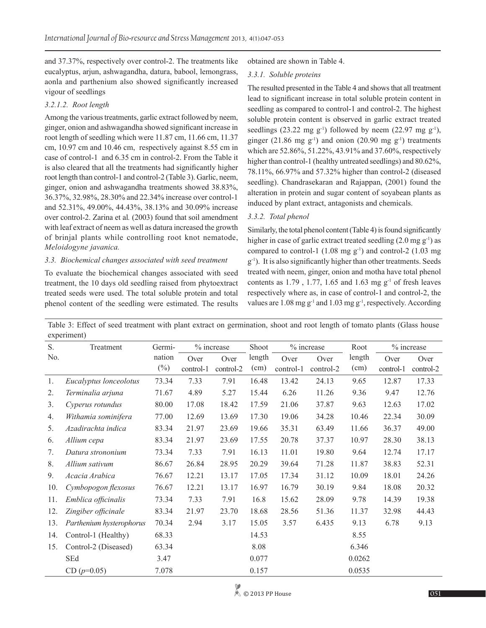and 37.37%, respectively over control-2. The treatments like eucalyptus, arjun, ashwagandha, datura, babool, lemongrass, aonla and parthenium also showed significantly increased vigour of seedlings

# *3.2.1.2. Root length*

Among the various treatments, garlic extract followed by neem, ginger, onion and ashwagandha showed significant increase in root length of seedling which were 11.87 cm, 11.66 cm, 11.37 cm, 10.97 cm and 10.46 cm, respectively against 8.55 cm in case of control-1 and 6.35 cm in control-2. From the Table it is also cleared that all the treatments had significantly higher root length than control-1 and control-2 (Table 3). Garlic, neem, ginger, onion and ashwagandha treatments showed 38.83%, 36.37%, 32.98%, 28.30% and 22.34% increase over control-1 and 52.31%, 49.00%, 44.43%, 38.13% and 30.09% increase over control-2. Zarina et al*.* (2003) found that soil amendment with leaf extract of neem as well as datura increased the growth of brinjal plants while controlling root knot nematode, *Meloidogyne javanica.*

## *3.3. Biochemical changes associated with seed treatment*

To evaluate the biochemical changes associated with seed treatment, the 10 days old seedling raised from phytoextract treated seeds were used. The total soluble protein and total phenol content of the seedling were estimated. The results obtained are shown in Table 4.

# *3.3.1. Soluble proteins*

The resulted presented in the Table 4 and shows that all treatment lead to significant increase in total soluble protein content in seedling as compared to control-1 and control-2. The highest soluble protein content is observed in garlic extract treated seedlings (23.22 mg  $g^{-1}$ ) followed by neem (22.97 mg  $g^{-1}$ ), ginger (21.86 mg  $g^{-1}$ ) and onion (20.90 mg  $g^{-1}$ ) treatments which are 52.86%, 51.22%, 43.91% and 37.60%, respectively higher than control-1 (healthy untreated seedlings) and 80.62%, 78.11%, 66.97% and 57.32% higher than control-2 (diseased seedling). Chandrasekaran and Rajappan, (2001) found the alteration in protein and sugar content of soyabean plants as induced by plant extract, antagonists and chemicals.

# *3.3.2. Total phenol*

Similarly, the total phenol content (Table 4) is found significantly higher in case of garlic extract treated seedling  $(2.0 \text{ mg g}^{-1})$  as compared to control-1  $(1.08 \text{ mg g}^{-1})$  and control-2  $(1.03 \text{ mg})$ g-1). It is also significantly higher than other treatments. Seeds treated with neem, ginger, onion and motha have total phenol contents as  $1.79$ ,  $1.77$ ,  $1.65$  and  $1.63$  mg  $g^{-1}$  of fresh leaves respectively where as, in case of control-1 and control-2, the values are  $1.08$  mg g<sup>-1</sup> and  $1.03$  mg g<sup>-1</sup>, respectively. According

| Table 3: Effect of seed treatment with plant extract on germination, shoot and root length of tomato plants (Glass house |  |  |  |  |  |  |
|--------------------------------------------------------------------------------------------------------------------------|--|--|--|--|--|--|
| experiment)                                                                                                              |  |  |  |  |  |  |

| $\mathbf{r}$<br>S. | Treatment                | % increase<br>Germi- |           | Shoot     | % increase |           |           | % increase |           |           |
|--------------------|--------------------------|----------------------|-----------|-----------|------------|-----------|-----------|------------|-----------|-----------|
| No.                |                          | nation               | Over      | Over      | length     | Over      | Over      | length     | Over      | Over      |
|                    |                          | $(\%)$               | control-1 | control-2 | (cm)       | control-1 | control-2 | (cm)       | control-1 | control-2 |
| 1.                 | Eucalyptus lonceolotus   | 73.34                | 7.33      | 7.91      | 16.48      | 13.42     | 24.13     | 9.65       | 12.87     | 17.33     |
| 2.                 | Terminalia arjuna        | 71.67                | 4.89      | 5.27      | 15.44      | 6.26      | 11.26     | 9.36       | 9.47      | 12.76     |
| 3.                 | Cyperus rotundus         | 80.00                | 17.08     | 18.42     | 17.59      | 21.06     | 37.87     | 9.63       | 12.63     | 17.02     |
| 4.                 | Withamia sominifera      | 77.00                | 12.69     | 13.69     | 17.30      | 19.06     | 34.28     | 10.46      | 22.34     | 30.09     |
| 5.                 | Azadirachta indica       | 83.34                | 21.97     | 23.69     | 19.66      | 35.31     | 63.49     | 11.66      | 36.37     | 49.00     |
| 6.                 | Allium cepa              | 83.34                | 21.97     | 23.69     | 17.55      | 20.78     | 37.37     | 10.97      | 28.30     | 38.13     |
| 7.                 | Datura strononium        | 73.34                | 7.33      | 7.91      | 16.13      | 11.01     | 19.80     | 9.64       | 12.74     | 17.17     |
| 8.                 | Allium sativum           | 86.67                | 26.84     | 28.95     | 20.29      | 39.64     | 71.28     | 11.87      | 38.83     | 52.31     |
| 9.                 | Acacia Arabica           | 76.67                | 12.21     | 13.17     | 17.05      | 17.34     | 31.12     | 10.09      | 18.01     | 24.26     |
| 10.                | Cymbopogon flexosus      | 76.67                | 12.21     | 13.17     | 16.97      | 16.79     | 30.19     | 9.84       | 18.08     | 20.32     |
| 11.                | Emblica officinalis      | 73.34                | 7.33      | 7.91      | 16.8       | 15.62     | 28.09     | 9.78       | 14.39     | 19.38     |
| 12.                | Zingiber officinale      | 83.34                | 21.97     | 23.70     | 18.68      | 28.56     | 51.36     | 11.37      | 32.98     | 44.43     |
| 13.                | Parthenium hysterophorus | 70.34                | 2.94      | 3.17      | 15.05      | 3.57      | 6.435     | 9.13       | 6.78      | 9.13      |
| 14.                | Control-1 (Healthy)      | 68.33                |           |           | 14.53      |           |           | 8.55       |           |           |
| 15.                | Control-2 (Diseased)     | 63.34                |           |           | 8.08       |           |           | 6.346      |           |           |
|                    | <b>SEd</b>               | 3.47                 |           |           | 0.077      |           |           | 0.0262     |           |           |
|                    | $CD (p=0.05)$            | 7.078                |           |           | 0.157      |           |           | 0.0535     |           |           |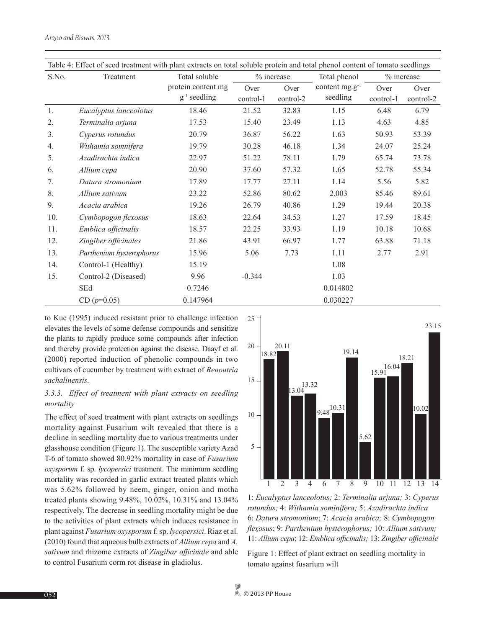| Table 4: Effect of seed treatment with plant extracts on total soluble protein and total phenol content of tomato seedlings |                          |                                         |                            |           |                                 |           |            |  |  |  |  |
|-----------------------------------------------------------------------------------------------------------------------------|--------------------------|-----------------------------------------|----------------------------|-----------|---------------------------------|-----------|------------|--|--|--|--|
| S.No.                                                                                                                       | Treatment                | Total soluble                           | % increase<br>Total phenol |           |                                 |           | % increase |  |  |  |  |
|                                                                                                                             |                          | protein content mg<br>$g^{-1}$ seedling | Over                       | Over      | content mg $g^{-1}$<br>seedling | Over      | Over       |  |  |  |  |
|                                                                                                                             |                          |                                         | control-1                  | control-2 |                                 | control-1 | control-2  |  |  |  |  |
| 1.                                                                                                                          | Eucalyptus lanceolotus   | 18.46                                   | 21.52                      | 32.83     | 1.15                            | 6.48      | 6.79       |  |  |  |  |
| 2.                                                                                                                          | Terminalia arjuna        | 17.53                                   | 15.40                      | 23.49     | 1.13                            | 4.63      | 4.85       |  |  |  |  |
| 3.                                                                                                                          | Cyperus rotundus         | 20.79                                   | 36.87                      | 56.22     | 1.63                            | 50.93     | 53.39      |  |  |  |  |
| 4.                                                                                                                          | Withamia somnifera       | 19.79                                   | 30.28                      | 46.18     | 1.34                            | 24.07     | 25.24      |  |  |  |  |
| 5.                                                                                                                          | Azadirachta indica       | 22.97                                   | 51.22                      | 78.11     | 1.79                            | 65.74     | 73.78      |  |  |  |  |
| 6.                                                                                                                          | Allium cepa              | 20.90                                   | 37.60                      | 57.32     | 1.65                            | 52.78     | 55.34      |  |  |  |  |
| 7.                                                                                                                          | Datura stromonium        | 17.89                                   | 17.77                      | 27.11     | 1.14                            | 5.56      | 5.82       |  |  |  |  |
| 8.                                                                                                                          | Allium sativum           | 23.22                                   | 52.86                      | 80.62     | 2.003                           | 85.46     | 89.61      |  |  |  |  |
| 9.                                                                                                                          | Acacia arabica           | 19.26                                   | 26.79                      | 40.86     | 1.29                            | 19.44     | 20.38      |  |  |  |  |
| 10.                                                                                                                         | Cymbopogon flexosus      | 18.63                                   | 22.64                      | 34.53     | 1.27                            | 17.59     | 18.45      |  |  |  |  |
| 11.                                                                                                                         | Emblica officinalis      | 18.57                                   | 22.25                      | 33.93     | 1.19                            | 10.18     | 10.68      |  |  |  |  |
| 12.                                                                                                                         | Zingiber officinales     | 21.86                                   | 43.91                      | 66.97     | 1.77                            | 63.88     | 71.18      |  |  |  |  |
| 13.                                                                                                                         | Parthenium hysterophorus | 15.96                                   | 5.06                       | 7.73      | 1.11                            | 2.77      | 2.91       |  |  |  |  |
| 14.                                                                                                                         | Control-1 (Healthy)      | 15.19                                   |                            |           | 1.08                            |           |            |  |  |  |  |
| 15.                                                                                                                         | Control-2 (Diseased)     | 9.96                                    | $-0.344$                   |           | 1.03                            |           |            |  |  |  |  |
|                                                                                                                             | SEd                      | 0.7246                                  |                            |           | 0.014802                        |           |            |  |  |  |  |
|                                                                                                                             | $CD (p=0.05)$            | 0.147964                                |                            |           | 0.030227                        |           |            |  |  |  |  |

to Kuc (1995) induced resistant prior to challenge infection elevates the levels of some defense compounds and sensitize the plants to rapidly produce some compounds after infection and thereby provide protection against the disease. Daayf et al. (2000) reported induction of phenolic compounds in two cultivars of cucumber by treatment with extract of *Renoutria sachalinensis.*

# *3.3.3. Effect of treatment with plant extracts on seedling mortality*

The effect of seed treatment with plant extracts on seedlings mortality against Fusarium wilt revealed that there is a decline in seedling mortality due to various treatments under glasshouse condition (Figure 1). The susceptible variety Azad T-6 of tomato showed 80.92% mortality in case of *Fusarium oxysporum* f. sp. *lycopersici* treatment. The minimum seedling mortality was recorded in garlic extract treated plants which was 5.62% followed by neem, ginger, onion and motha treated plants showing 9.48%, 10.02%, 10.31% and 13.04% respectively. The decrease in seedling mortality might be due to the activities of plant extracts which induces resistance in plant against *Fusarium oxysporum* f. sp. *lycopersici*. Riaz et al. (2010) found that aqueous bulb extracts of *Allium cepa* and *A. sativum* and rhizome extracts of *Zingibar officinale* and able to control Fusarium corm rot disease in gladiolus.



1: *Eucalyptus lanceolotus;* 2: *Terminalia arjuna;* 3: *Cyperus rotundus;* 4: *Withamia sominifera;* 5: *Azadirachta indica*  6: *Datura stromonium*; 7: *Acacia arabica;* 8: *Cymbopogon flexosus*; 9: *Parthenium hysterophorus;* 10: *Allium sativum;*  11: *Allium cepa*; 12: *Emblica officinalis;* 13: *Zingiber officinale*

Figure 1: Effect of plant extract on seedling mortality in tomato against fusarium wilt